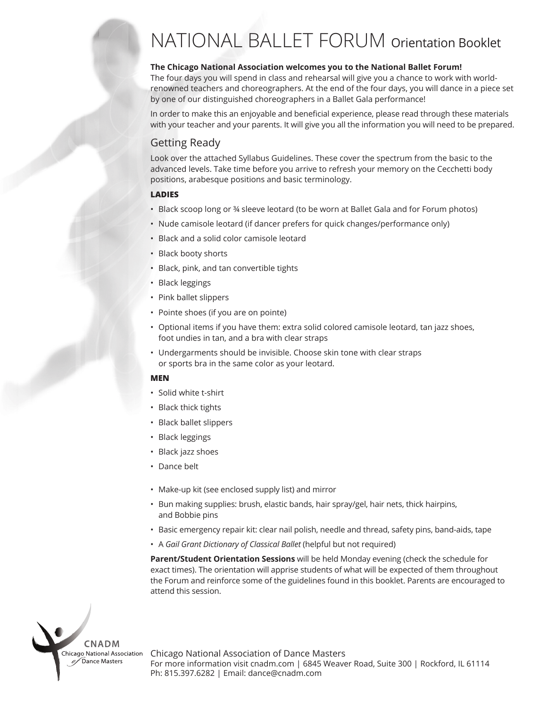## NATIONAL BALLET FORUM Orientation Booklet

#### **The Chicago National Association welcomes you to the National Ballet Forum!**

The four days you will spend in class and rehearsal will give you a chance to work with worldrenowned teachers and choreographers. At the end of the four days, you will dance in a piece set by one of our distinguished choreographers in a Ballet Gala performance!

In order to make this an enjoyable and beneficial experience, please read through these materials with your teacher and your parents. It will give you all the information you will need to be prepared.

#### Getting Ready

Look over the attached Syllabus Guidelines. These cover the spectrum from the basic to the advanced levels. Take time before you arrive to refresh your memory on the Cecchetti body positions, arabesque positions and basic terminology.

#### **LADIES**

- Black scoop long or ¾ sleeve leotard (to be worn at Ballet Gala and for Forum photos)
- Nude camisole leotard (if dancer prefers for quick changes/performance only)
- Black and a solid color camisole leotard
- Black booty shorts
- Black, pink, and tan convertible tights
- Black leggings
- Pink ballet slippers
- Pointe shoes (if you are on pointe)
- Optional items if you have them: extra solid colored camisole leotard, tan jazz shoes, foot undies in tan, and a bra with clear straps
- Undergarments should be invisible. Choose skin tone with clear straps or sports bra in the same color as your leotard.

#### **MEN**

- Solid white t-shirt
- Black thick tights
- Black ballet slippers
- Black leggings
- Black jazz shoes
- Dance belt
- Make-up kit (see enclosed supply list) and mirror
- Bun making supplies: brush, elastic bands, hair spray/gel, hair nets, thick hairpins, and Bobbie pins
- Basic emergency repair kit: clear nail polish, needle and thread, safety pins, band-aids, tape
- A *Gail Grant Dictionary of Classical Ballet* (helpful but not required)

**Parent/Student Orientation Sessions** will be held Monday evening (check the schedule for exact times). The orientation will apprise students of what will be expected of them throughout the Forum and reinforce some of the guidelines found in this booklet. Parents are encouraged to attend this session.

Chicago National Association of Dance Masters For more information visit cnadm.com | 6845 Weaver Road, Suite 300 | Rockford, IL 61114 Ph: 815.397.6282 | Email: dance@cnadm.com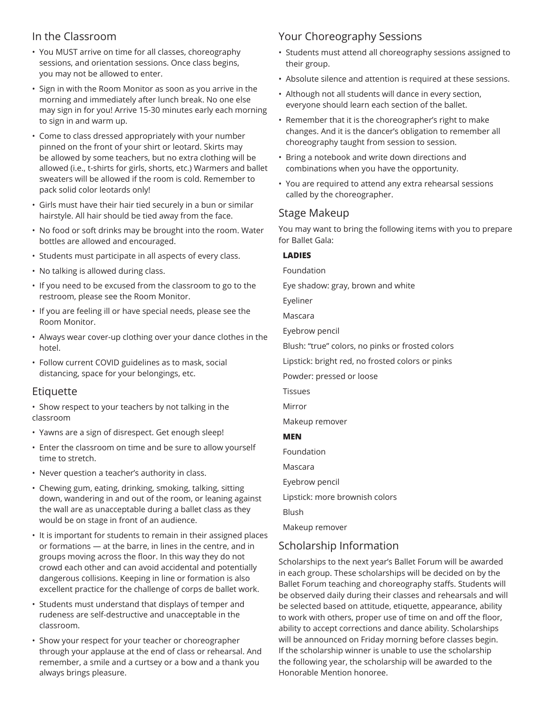## In the Classroom

- You MUST arrive on time for all classes, choreography sessions, and orientation sessions. Once class begins, you may not be allowed to enter.
- Sign in with the Room Monitor as soon as you arrive in the morning and immediately after lunch break. No one else may sign in for you! Arrive 15-30 minutes early each morning to sign in and warm up.
- Come to class dressed appropriately with your number pinned on the front of your shirt or leotard. Skirts may be allowed by some teachers, but no extra clothing will be allowed (i.e., t-shirts for girls, shorts, etc.) Warmers and ballet sweaters will be allowed if the room is cold. Remember to pack solid color leotards only!
- Girls must have their hair tied securely in a bun or similar hairstyle. All hair should be tied away from the face.
- No food or soft drinks may be brought into the room. Water bottles are allowed and encouraged.
- Students must participate in all aspects of every class.
- No talking is allowed during class.
- If you need to be excused from the classroom to go to the restroom, please see the Room Monitor.
- If you are feeling ill or have special needs, please see the Room Monitor.
- Always wear cover-up clothing over your dance clothes in the hotel.
- Follow current COVID guidelines as to mask, social distancing, space for your belongings, etc.

#### Etiquette

• Show respect to your teachers by not talking in the classroom

- Yawns are a sign of disrespect. Get enough sleep!
- Enter the classroom on time and be sure to allow yourself time to stretch.
- Never question a teacher's authority in class.
- Chewing gum, eating, drinking, smoking, talking, sitting down, wandering in and out of the room, or leaning against the wall are as unacceptable during a ballet class as they would be on stage in front of an audience.
- It is important for students to remain in their assigned places or formations — at the barre, in lines in the centre, and in groups moving across the floor. In this way they do not crowd each other and can avoid accidental and potentially dangerous collisions. Keeping in line or formation is also excellent practice for the challenge of corps de ballet work.
- Students must understand that displays of temper and rudeness are self-destructive and unacceptable in the classroom.
- Show your respect for your teacher or choreographer through your applause at the end of class or rehearsal. And remember, a smile and a curtsey or a bow and a thank you always brings pleasure.

## Your Choreography Sessions

- Students must attend all choreography sessions assigned to their group.
- Absolute silence and attention is required at these sessions.
- Although not all students will dance in every section, everyone should learn each section of the ballet.
- Remember that it is the choreographer's right to make changes. And it is the dancer's obligation to remember all choreography taught from session to session.
- Bring a notebook and write down directions and combinations when you have the opportunity.
- You are required to attend any extra rehearsal sessions called by the choreographer.

### Stage Makeup

You may want to bring the following items with you to prepare for Ballet Gala:

#### **LADIES**

Foundation

Eye shadow: gray, brown and white

Eyeliner

Mascara

Eyebrow pencil

Blush: "true" colors, no pinks or frosted colors

Lipstick: bright red, no frosted colors or pinks

Powder: pressed or loose

Tissues

Mirror

Makeup remover

#### **MEN**

Foundation

Mascara

Eyebrow pencil

Lipstick: more brownish colors

Blush

Makeup remover

## Scholarship Information

Scholarships to the next year's Ballet Forum will be awarded in each group. These scholarships will be decided on by the Ballet Forum teaching and choreography staffs. Students will be observed daily during their classes and rehearsals and will be selected based on attitude, etiquette, appearance, ability to work with others, proper use of time on and off the floor, ability to accept corrections and dance ability. Scholarships will be announced on Friday morning before classes begin. If the scholarship winner is unable to use the scholarship the following year, the scholarship will be awarded to the Honorable Mention honoree.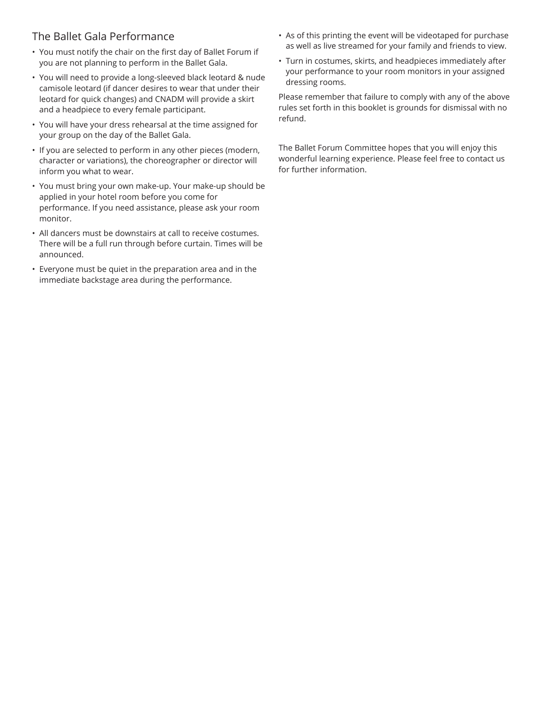## The Ballet Gala Performance

- You must notify the chair on the first day of Ballet Forum if you are not planning to perform in the Ballet Gala.
- You will need to provide a long-sleeved black leotard & nude camisole leotard (if dancer desires to wear that under their leotard for quick changes) and CNADM will provide a skirt and a headpiece to every female participant.
- You will have your dress rehearsal at the time assigned for your group on the day of the Ballet Gala.
- If you are selected to perform in any other pieces (modern, character or variations), the choreographer or director will inform you what to wear.
- You must bring your own make-up. Your make-up should be applied in your hotel room before you come for performance. If you need assistance, please ask your room monitor.
- All dancers must be downstairs at call to receive costumes. There will be a full run through before curtain. Times will be announced.
- Everyone must be quiet in the preparation area and in the immediate backstage area during the performance.
- As of this printing the event will be videotaped for purchase as well as live streamed for your family and friends to view.
- Turn in costumes, skirts, and headpieces immediately after your performance to your room monitors in your assigned dressing rooms.

Please remember that failure to comply with any of the above rules set forth in this booklet is grounds for dismissal with no refund.

The Ballet Forum Committee hopes that you will enjoy this wonderful learning experience. Please feel free to contact us for further information.